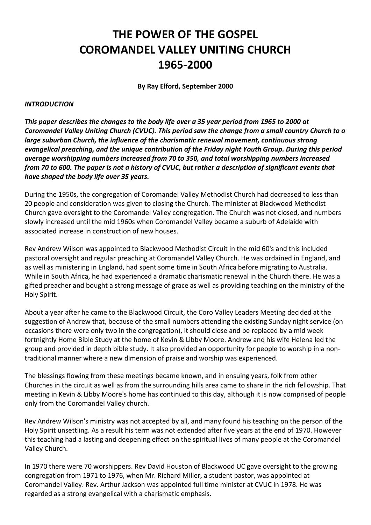# **THE POWER OF THE GOSPEL COROMANDEL VALLEY UNITING CHURCH 1965-2000**

**By Ray Elford, September 2000**

#### *INTRODUCTION*

*This paper describes the changes to the body life over a 35 year period from 1965 to 2000 at Coromandel Valley Uniting Church (CVUC). This period saw the change from a small country Church to a large suburban Church, the influence of the charismatic renewal movement, continuous strong evangelical preaching, and the unique contribution of the Friday night Youth Group. During this period average worshipping numbers increased from 70 to 350, and total worshipping numbers increased from 70 to 600. The paper is not a history of CVUC, but rather a description of significant events that have shaped the body life over 35 years.*

During the 1950s, the congregation of Coromandel Valley Methodist Church had decreased to less than 20 people and consideration was given to closing the Church. The minister at Blackwood Methodist Church gave oversight to the Coromandel Valley congregation. The Church was not closed, and numbers slowly increased until the mid 1960s when Coromandel Valley became a suburb of Adelaide with associated increase in construction of new houses.

Rev Andrew Wilson was appointed to Blackwood Methodist Circuit in the mid 60's and this included pastoral oversight and regular preaching at Coromandel Valley Church. He was ordained in England, and as well as ministering in England, had spent some time in South Africa before migrating to Australia. While in South Africa, he had experienced a dramatic charismatic renewal in the Church there. He was a gifted preacher and bought a strong message of grace as well as providing teaching on the ministry of the Holy Spirit.

About a year after he came to the Blackwood Circuit, the Coro Valley Leaders Meeting decided at the suggestion of Andrew that, because of the small numbers attending the existing Sunday night service (on occasions there were only two in the congregation), it should close and be replaced by a mid week fortnightly Home Bible Study at the home of Kevin & Libby Moore. Andrew and his wife Helena led the group and provided in depth bible study. It also provided an opportunity for people to worship in a nontraditional manner where a new dimension of praise and worship was experienced.

The blessings flowing from these meetings became known, and in ensuing years, folk from other Churches in the circuit as well as from the surrounding hills area came to share in the rich fellowship. That meeting in Kevin & Libby Moore's home has continued to this day, although it is now comprised of people only from the Coromandel Valley church.

Rev Andrew Wilson's ministry was not accepted by all, and many found his teaching on the person of the Holy Spirit unsettling. As a result his term was not extended after five years at the end of 1970. However this teaching had a lasting and deepening effect on the spiritual lives of many people at the Coromandel Valley Church.

In 1970 there were 70 worshippers. Rev David Houston of Blackwood UC gave oversight to the growing congregation from 1971 to 1976, when Mr. Richard Miller, a student pastor, was appointed at Coromandel Valley. Rev. Arthur Jackson was appointed full time minister at CVUC in 1978. He was regarded as a strong evangelical with a charismatic emphasis.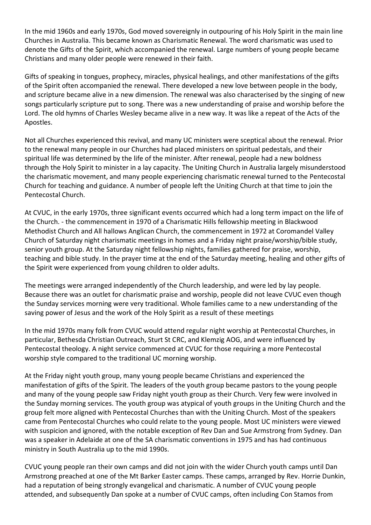In the mid 1960s and early 1970s, God moved sovereignly in outpouring of his Holy Spirit in the main line Churches in Australia. This became known as Charismatic Renewal. The word charismatic was used to denote the Gifts of the Spirit, which accompanied the renewal. Large numbers of young people became Christians and many older people were renewed in their faith.

Gifts of speaking in tongues, prophecy, miracles, physical healings, and other manifestations of the gifts of the Spirit often accompanied the renewal. There developed a new love between people in the body, and scripture became alive in a new dimension. The renewal was also characterised by the singing of new songs particularly scripture put to song. There was a new understanding of praise and worship before the Lord. The old hymns of Charles Wesley became alive in a new way. It was like a repeat of the Acts of the Apostles.

Not all Churches experienced this revival, and many UC ministers were sceptical about the renewal. Prior to the renewal many people in our Churches had placed ministers on spiritual pedestals, and their spiritual life was determined by the life of the minister. After renewal, people had a new boldness through the Holy Spirit to minister in a lay capacity. The Uniting Church in Australia largely misunderstood the charismatic movement, and many people experiencing charismatic renewal turned to the Pentecostal Church for teaching and guidance. A number of people left the Uniting Church at that time to join the Pentecostal Church.

At CVUC, in the early 1970s, three significant events occurred which had a long term impact on the life of the Church. - the commencement in 1970 of a Charismatic Hills fellowship meeting in Blackwood Methodist Church and All hallows Anglican Church, the commencement in 1972 at Coromandel Valley Church of Saturday night charismatic meetings in homes and a Friday night praise/worship/bible study, senior youth group. At the Saturday night fellowship nights, families gathered for praise, worship, teaching and bible study. In the prayer time at the end of the Saturday meeting, healing and other gifts of the Spirit were experienced from young children to older adults.

The meetings were arranged independently of the Church leadership, and were led by lay people. Because there was an outlet for charismatic praise and worship, people did not leave CVUC even though the Sunday services morning were very traditional. Whole families came to a new understanding of the saving power of Jesus and the work of the Holy Spirit as a result of these meetings

In the mid 1970s many folk from CVUC would attend regular night worship at Pentecostal Churches, in particular, Bethesda Christian Outreach, Sturt St CRC, and Klemzig AOG, and were influenced by Pentecostal theology. A night service commenced at CVUC for those requiring a more Pentecostal worship style compared to the traditional UC morning worship.

At the Friday night youth group, many young people became Christians and experienced the manifestation of gifts of the Spirit. The leaders of the youth group became pastors to the young people and many of the young people saw Friday night youth group as their Church. Very few were involved in the Sunday morning services. The youth group was atypical of youth groups in the Uniting Church and the group felt more aligned with Pentecostal Churches than with the Uniting Church. Most of the speakers came from Pentecostal Churches who could relate to the young people. Most UC ministers were viewed with suspicion and ignored, with the notable exception of Rev Dan and Sue Armstrong from Sydney. Dan was a speaker in Adelaide at one of the SA charismatic conventions in 1975 and has had continuous ministry in South Australia up to the mid 1990s.

CVUC young people ran their own camps and did not join with the wider Church youth camps until Dan Armstrong preached at one of the Mt Barker Easter camps. These camps, arranged by Rev. Horrie Dunkin, had a reputation of being strongly evangelical and charismatic. A number of CVUC young people attended, and subsequently Dan spoke at a number of CVUC camps, often including Con Stamos from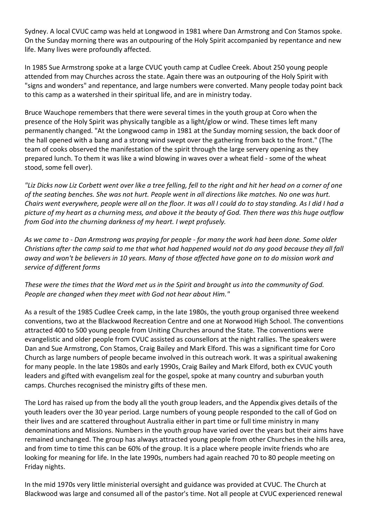Sydney. A local CVUC camp was held at Longwood in 1981 where Dan Armstrong and Con Stamos spoke. On the Sunday morning there was an outpouring of the Holy Spirit accompanied by repentance and new life. Many lives were profoundly affected.

In 1985 Sue Armstrong spoke at a large CVUC youth camp at Cudlee Creek. About 250 young people attended from may Churches across the state. Again there was an outpouring of the Holy Spirit with "signs and wonders" and repentance, and large numbers were converted. Many people today point back to this camp as a watershed in their spiritual life, and are in ministry today.

Bruce Wauchope remembers that there were several times in the youth group at Coro when the presence of the Holy Spirit was physically tangible as a light/glow or wind. These times left many permanently changed. "At the Longwood camp in 1981 at the Sunday morning session, the back door of the hall opened with a bang and a strong wind swept over the gathering from back to the front." (The team of cooks observed the manifestation of the spirit through the large servery opening as they prepared lunch. To them it was like a wind blowing in waves over a wheat field - some of the wheat stood, some fell over).

*"Liz Dicks now Liz Corbett went over like a tree felling, fell to the right and hit her head on a corner of one of the seating benches. She was not hurt. People went in all directions like matches. No one was hurt. Chairs went everywhere, people were all on the floor. It was all I could do to stay standing. As I did I had a picture of my heart as a churning mess, and above it the beauty of God. Then there was this huge outflow from God into the churning darkness of my heart. I wept profusely.*

*As we came to - Dan Armstrong was praying for people - for many the work had been done. Some older Christians after the camp said to me that what had happened would not do any good because they all fall away and won't be believers in 10 years. Many of those affected have gone on to do mission work and service of different forms*

*These were the times that the Word met us in the Spirit and brought us into the community of God. People are changed when they meet with God not hear about Him."*

As a result of the 1985 Cudlee Creek camp, in the late 1980s, the youth group organised three weekend conventions, two at the Blackwood Recreation Centre and one at Norwood High School. The conventions attracted 400 to 500 young people from Uniting Churches around the State. The conventions were evangelistic and older people from CVUC assisted as counsellors at the night rallies. The speakers were Dan and Sue Armstrong, Con Stamos, Craig Bailey and Mark Elford. This was a significant time for Coro Church as large numbers of people became involved in this outreach work. It was a spiritual awakening for many people. In the late 1980s and early 1990s, Craig Bailey and Mark Elford, both ex CVUC youth leaders and gifted with evangelism zeal for the gospel, spoke at many country and suburban youth camps. Churches recognised the ministry gifts of these men.

The Lord has raised up from the body all the youth group leaders, and the Appendix gives details of the youth leaders over the 30 year period. Large numbers of young people responded to the call of God on their lives and are scattered throughout Australia either in part time or full time ministry in many denominations and Missions. Numbers in the youth group have varied over the years but their aims have remained unchanged. The group has always attracted young people from other Churches in the hills area, and from time to time this can be 60% of the group. It is a place where people invite friends who are looking for meaning for life. In the late 1990s, numbers had again reached 70 to 80 people meeting on Friday nights.

In the mid 1970s very little ministerial oversight and guidance was provided at CVUC. The Church at Blackwood was large and consumed all of the pastor's time. Not all people at CVUC experienced renewal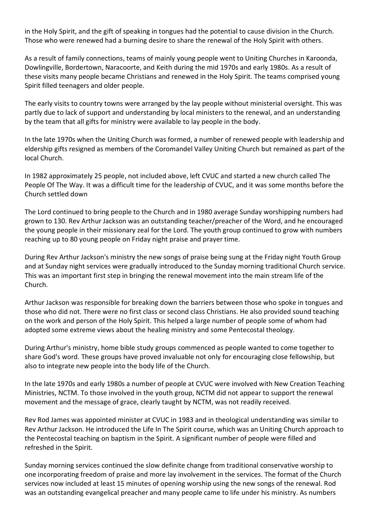in the Holy Spirit, and the gift of speaking in tongues had the potential to cause division in the Church. Those who were renewed had a burning desire to share the renewal of the Holy Spirit with others.

As a result of family connections, teams of mainly young people went to Uniting Churches in Karoonda, Dowlingville, Bordertown, Naracoorte, and Keith during the mid 1970s and early 1980s. As a result of these visits many people became Christians and renewed in the Holy Spirit. The teams comprised young Spirit filled teenagers and older people.

The early visits to country towns were arranged by the lay people without ministerial oversight. This was partly due to lack of support and understanding by local ministers to the renewal, and an understanding by the team that all gifts for ministry were available to lay people in the body.

In the late 1970s when the Uniting Church was formed, a number of renewed people with leadership and eldership gifts resigned as members of the Coromandel Valley Uniting Church but remained as part of the local Church.

In 1982 approximately 25 people, not included above, left CVUC and started a new church called The People Of The Way. It was a difficult time for the leadership of CVUC, and it was some months before the Church settled down

The Lord continued to bring people to the Church and in 1980 average Sunday worshipping numbers had grown to 130. Rev Arthur Jackson was an outstanding teacher/preacher of the Word, and he encouraged the young people in their missionary zeal for the Lord. The youth group continued to grow with numbers reaching up to 80 young people on Friday night praise and prayer time.

During Rev Arthur Jackson's ministry the new songs of praise being sung at the Friday night Youth Group and at Sunday night services were gradually introduced to the Sunday morning traditional Church service. This was an important first step in bringing the renewal movement into the main stream life of the Church.

Arthur Jackson was responsible for breaking down the barriers between those who spoke in tongues and those who did not. There were no first class or second class Christians. He also provided sound teaching on the work and person of the Holy Spirit. This helped a large number of people some of whom had adopted some extreme views about the healing ministry and some Pentecostal theology.

During Arthur's ministry, home bible study groups commenced as people wanted to come together to share God's word. These groups have proved invaluable not only for encouraging close fellowship, but also to integrate new people into the body life of the Church.

In the late 1970s and early 1980s a number of people at CVUC were involved with New Creation Teaching Ministries, NCTM. To those involved in the youth group, NCTM did not appear to support the renewal movement and the message of grace, clearly taught by NCTM, was not readily received.

Rev Rod James was appointed minister at CVUC in 1983 and in theological understanding was similar to Rev Arthur Jackson. He introduced the Life In The Spirit course, which was an Uniting Church approach to the Pentecostal teaching on baptism in the Spirit. A significant number of people were filled and refreshed in the Spirit.

Sunday morning services continued the slow definite change from traditional conservative worship to one incorporating freedom of praise and more lay involvement in the services. The format of the Church services now included at least 15 minutes of opening worship using the new songs of the renewal. Rod was an outstanding evangelical preacher and many people came to life under his ministry. As numbers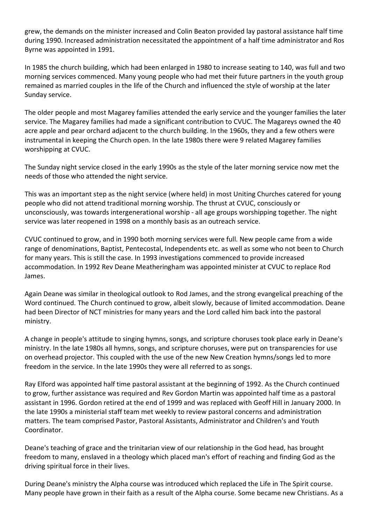grew, the demands on the minister increased and Colin Beaton provided lay pastoral assistance half time during 1990. Increased administration necessitated the appointment of a half time administrator and Ros Byrne was appointed in 1991.

In 1985 the church building, which had been enlarged in 1980 to increase seating to 140, was full and two morning services commenced. Many young people who had met their future partners in the youth group remained as married couples in the life of the Church and influenced the style of worship at the later Sunday service.

The older people and most Magarey families attended the early service and the younger families the later service. The Magarey families had made a significant contribution to CVUC. The Magareys owned the 40 acre apple and pear orchard adjacent to the church building. In the 1960s, they and a few others were instrumental in keeping the Church open. In the late 1980s there were 9 related Magarey families worshipping at CVUC.

The Sunday night service closed in the early 1990s as the style of the later morning service now met the needs of those who attended the night service.

This was an important step as the night service (where held) in most Uniting Churches catered for young people who did not attend traditional morning worship. The thrust at CVUC, consciously or unconsciously, was towards intergenerational worship - all age groups worshipping together. The night service was later reopened in 1998 on a monthly basis as an outreach service.

CVUC continued to grow, and in 1990 both morning services were full. New people came from a wide range of denominations, Baptist, Pentecostal, Independents etc. as well as some who not been to Church for many years. This is still the case. In 1993 investigations commenced to provide increased accommodation. In 1992 Rev Deane Meatheringham was appointed minister at CVUC to replace Rod James.

Again Deane was similar in theological outlook to Rod James, and the strong evangelical preaching of the Word continued. The Church continued to grow, albeit slowly, because of limited accommodation. Deane had been Director of NCT ministries for many years and the Lord called him back into the pastoral ministry.

A change in people's attitude to singing hymns, songs, and scripture choruses took place early in Deane's ministry. In the late 1980s all hymns, songs, and scripture choruses, were put on transparencies for use on overhead projector. This coupled with the use of the new New Creation hymns/songs led to more freedom in the service. In the late 1990s they were all referred to as songs.

Ray Elford was appointed half time pastoral assistant at the beginning of 1992. As the Church continued to grow, further assistance was required and Rev Gordon Martin was appointed half time as a pastoral assistant in 1996. Gordon retired at the end of 1999 and was replaced with Geoff Hill in January 2000. In the late 1990s a ministerial staff team met weekly to review pastoral concerns and administration matters. The team comprised Pastor, Pastoral Assistants, Administrator and Children's and Youth Coordinator.

Deane's teaching of grace and the trinitarian view of our relationship in the God head, has brought freedom to many, enslaved in a theology which placed man's effort of reaching and finding God as the driving spiritual force in their lives.

During Deane's ministry the Alpha course was introduced which replaced the Life in The Spirit course. Many people have grown in their faith as a result of the Alpha course. Some became new Christians. As a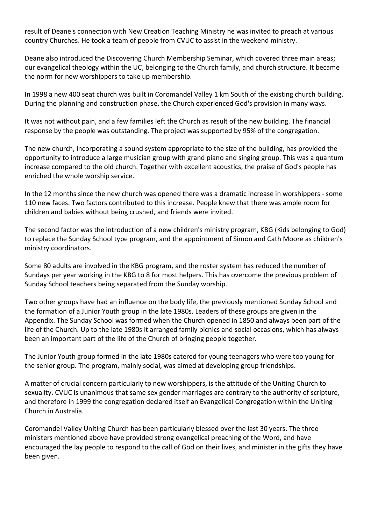result of Deane's connection with New Creation Teaching Ministry he was invited to preach at various country Churches. He took a team of people from CVUC to assist in the weekend ministry.

Deane also introduced the Discovering Church Membership Seminar, which covered three main areas; our evangelical theology within the UC, belonging to the Church family, and church structure. It became the norm for new worshippers to take up membership.

In 1998 a new 400 seat church was built in Coromandel Valley 1 km South of the existing church building. During the planning and construction phase, the Church experienced God's provision in many ways.

It was not without pain, and a few families left the Church as result of the new building. The financial response by the people was outstanding. The project was supported by 95% of the congregation.

The new church, incorporating a sound system appropriate to the size of the building, has provided the opportunity to introduce a large musician group with grand piano and singing group. This was a quantum increase compared to the old church. Together with excellent acoustics, the praise of God's people has enriched the whole worship service.

In the 12 months since the new church was opened there was a dramatic increase in worshippers - some 110 new faces. Two factors contributed to this increase. People knew that there was ample room for children and babies without being crushed, and friends were invited.

The second factor was the introduction of a new children's ministry program, KBG (Kids belonging to God) to replace the Sunday School type program, and the appointment of Simon and Cath Moore as children's ministry coordinators.

Some 80 adults are involved in the KBG program, and the roster system has reduced the number of Sundays per year working in the KBG to 8 for most helpers. This has overcome the previous problem of Sunday School teachers being separated from the Sunday worship.

Two other groups have had an influence on the body life, the previously mentioned Sunday School and the formation of a Junior Youth group in the late 1980s. Leaders of these groups are given in the Appendix. The Sunday School was formed when the Church opened in 1850 and always been part of the life of the Church. Up to the late 1980s it arranged family picnics and social occasions, which has always been an important part of the life of the Church of bringing people together.

The Junior Youth group formed in the late 1980s catered for young teenagers who were too young for the senior group. The program, mainly social, was aimed at developing group friendships.

A matter of crucial concern particularly to new worshippers, is the attitude of the Uniting Church to sexuality. CVUC is unanimous that same sex gender marriages are contrary to the authority of scripture, and therefore in 1999 the congregation declared itself an Evangelical Congregation within the Uniting Church in Australia.

Coromandel Valley Uniting Church has been particularly blessed over the last 30 years. The three ministers mentioned above have provided strong evangelical preaching of the Word, and have encouraged the lay people to respond to the call of God on their lives, and minister in the gifts they have been given.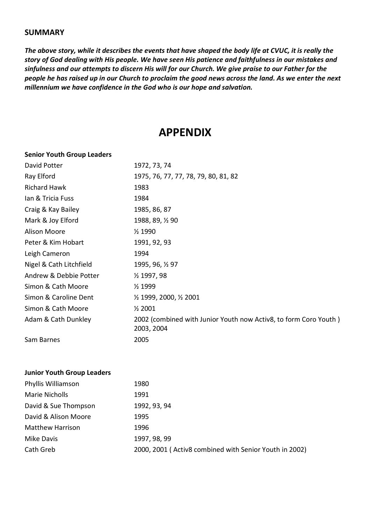### **SUMMARY**

*The above story, while it describes the events that have shaped the body life at CVUC, it is really the story of God dealing with His people. We have seen His patience and faithfulness in our mistakes and sinfulness and our attempts to discern His will for our Church. We give praise to our Father for the people he has raised up in our Church to proclaim the good news across the land. As we enter the next millennium we have confidence in the God who is our hope and salvation.*

## **APPENDIX**

#### **Senior Youth Group Leaders**

| David Potter                      | 1972, 73, 74                                                                   |
|-----------------------------------|--------------------------------------------------------------------------------|
| Ray Elford                        | 1975, 76, 77, 77, 78, 79, 80, 81, 82                                           |
| <b>Richard Hawk</b>               | 1983                                                                           |
| Ian & Tricia Fuss                 | 1984                                                                           |
| Craig & Kay Bailey                | 1985, 86, 87                                                                   |
| Mark & Joy Elford                 | 1988, 89, 1/2 90                                                               |
| <b>Alison Moore</b>               | 1/2 1990                                                                       |
| Peter & Kim Hobart                | 1991, 92, 93                                                                   |
| Leigh Cameron                     | 1994                                                                           |
| Nigel & Cath Litchfield           | 1995, 96, 1/2 97                                                               |
| Andrew & Debbie Potter            | 1/2 1997, 98                                                                   |
| Simon & Cath Moore                | 1/2 1999                                                                       |
| Simon & Caroline Dent             | 1/2 1999, 2000, 1/2 2001                                                       |
| Simon & Cath Moore                | 1/2 2001                                                                       |
| Adam & Cath Dunkley               | 2002 (combined with Junior Youth now Activ8, to form Coro Youth)<br>2003, 2004 |
| Sam Barnes                        | 2005                                                                           |
| <b>Junior Youth Group Leaders</b> |                                                                                |
| Phyllis Williamson                | 1980                                                                           |
| <b>Marie Nicholls</b>             | 1991                                                                           |
| David & Sue Thompson              | 1992, 93, 94                                                                   |
|                                   |                                                                                |

| David & Alison Moore | 1995                                                   |
|----------------------|--------------------------------------------------------|
| Matthew Harrison     | 1996                                                   |
| Mike Davis           | 1997, 98, 99                                           |
| Cath Greb            | 2000, 2001 (Activ8 combined with Senior Youth in 2002) |